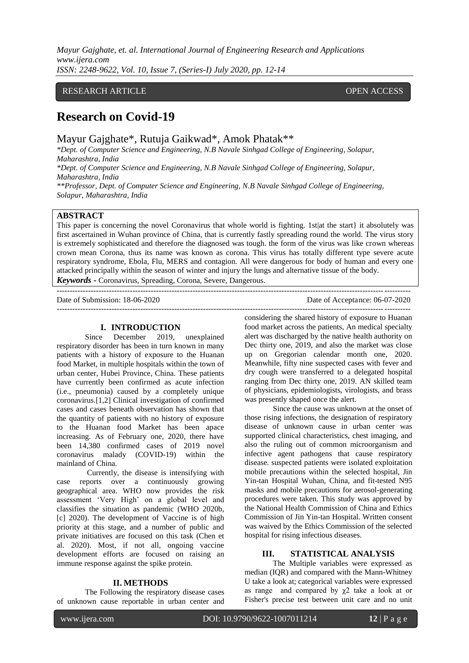*Mayur Gajghate, et. al. International Journal of Engineering Research and Applications www.ijera.com ISSN: 2248-9622, Vol. 10, Issue 7, (Series-I) July 2020, pp. 12-14*

## RESEARCH ARTICLE **CONTRACT OPEN ACCESS**

# **Research on Covid-19**

Mayur Gajghate\*, Rutuja Gaikwad\*, Amok Phatak\*\*

*\*Dept. of Computer Science and Engineering, N.B Navale Sinhgad College of Engineering, Solapur, Maharashtra, India*

*\*Dept. of Computer Science and Engineering, N.B Navale Sinhgad College of Engineering, Solapur, Maharashtra, India*

*\*\*Professor, Dept. of Computer Science and Engineering, N.B Navale Sinhgad College of Engineering, Solapur, Maharashtra, India*

### **ABSTRACT**

This paper is concerning the novel Coronavirus that whole world is fighting. 1st|at the start} it absolutely was first ascertained in Wuhan province of China, that is currently fastly spreading round the world. The virus story is extremely sophisticated and therefore the diagnosed was tough. the form of the virus was like crown whereas crown mean Corona, thus its name was known as corona. This virus has totally different type severe acute respiratory syndrome, Ebola, Flu, MERS and contagion. All were dangerous for body of human and every one attacked principally within the season of winter and injury the lungs and alternative tissue of the body.

---------------------------------------------------------------------------------------------------------------------------------------

*Keywords* **-** Coronavirus, Spreading, Corona, Severe, Dangerous.

Date of Submission: 18-06-2020 Date of Acceptance: 06-07-2020 ---------------------------------------------------------------------------------------------------------------------------------------

# **I. INTRODUCTION**<br>Since December 2019.

December 2019, unexplained respiratory disorder has been in turn known in many patients with a history of exposure to the Huanan food Market, in multiple hospitals within the town of urban center, Hubei Province, China. These patients have currently been confirmed as acute infection (i.e., pneumonia) caused by a completely unique coronavirus.[1,2] Clinical investigation of confirmed cases and cases beneath observation has shown that the quantity of patients with no history of exposure to the Huanan food Market has been apace increasing. As of February one, 2020, there have been 14,380 confirmed cases of 2019 novel coronavirus malady (COVID-19) within the mainland of China.

Currently, the disease is intensifying with case reports over a continuously growing geographical area. WHO now provides the risk assessment "Very High" on a global level and classifies the situation as pandemic (WHO 2020b, [c] 2020). The development of Vaccine is of high priority at this stage, and a number of public and private initiatives are focused on this task (Chen et al. 2020). Most, if not all, ongoing vaccine development efforts are focused on raising an immune response against the spike protein.

#### **II. METHODS**

The Following the respiratory disease cases of unknown cause reportable in urban center and considering the shared history of exposure to Huanan food market across the patients, An medical specialty alert was discharged by the native health authority on Dec thirty one, 2019, and also the market was close up on Gregorian calendar month one, 2020. Meanwhile, fifty nine suspected cases with fever and dry cough were transferred to a delegated hospital ranging from Dec thirty one, 2019. AN skilled team of physicians, epidemiologists, virologists, and brass was presently shaped once the alert.

Since the cause was unknown at the onset of those rising infections, the designation of respiratory disease of unknown cause in urban center was supported clinical characteristics, chest imaging, and also the ruling out of common microorganism and infective agent pathogens that cause respiratory disease. suspected patients were isolated exploitation mobile precautions within the selected hospital, Jin Yin-tan Hospital Wuhan, China, and fit-tested N95 masks and mobile precautions for aerosol-generating procedures were taken. This study was approved by the National Health Commission of China and Ethics Commission of Jin Yin-tan Hospital. Written consent was waived by the Ethics Commission of the selected hospital for rising infectious diseases.

#### **III. STATISTICAL ANALYSIS**

The Multiple variables were expressed as median (IQR) and compared with the Mann-Whitney U take a look at; categorical variables were expressed as range and compared by  $\chi$ 2 take a look at or Fisher's precise test between unit care and no unit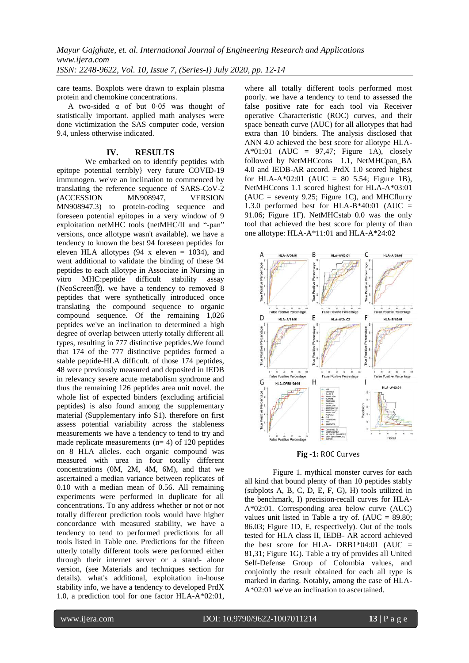care teams. Boxplots were drawn to explain plasma protein and chemokine concentrations.

A two-sided α of but 0·05 was thought of statistically important. applied math analyses were done victimization the SAS computer code, version 9.4, unless otherwise indicated.

#### **IV. RESULTS**

We embarked on to identify peptides with epitope potential terribly} very future COVID-19 immunogen. we've an inclination to commenced by translating the reference sequence of SARS-CoV-2<br>(ACCESSION MN908947, VERSION (ACCESSION MN908947, VERSION MN908947.3) to protein-coding sequence and foreseen potential epitopes in a very window of 9 exploitation netMHC tools (netMHC/II and "-pan" versions, once allotype wasn't available). we have a tendency to known the best 94 foreseen peptides for eleven HLA allotypes  $(94 \times \text{eleven} = 1034)$ , and went additional to validate the binding of these 94 peptides to each allotype in Associate in Nursing in<br>vitro MHC:peptide difficult stability assay vitro MHC:peptide difficult stability assay (NeoScreen<sup>®)</sup>. we have a tendency to removed 8 peptides that were synthetically introduced once translating the compound sequence to organic compound sequence. Of the remaining 1,026 peptides we've an inclination to determined a high degree of overlap between utterly totally different all types, resulting in 777 distinctive peptides.We found that 174 of the 777 distinctive peptides formed a stable peptide-HLA difficult. of those 174 peptides, 48 were previously measured and deposited in IEDB in relevancy severe acute metabolism syndrome and thus the remaining 126 peptides area unit novel. the whole list of expected binders (excluding artificial peptides) is also found among the supplementary material (Supplementary info S1). therefore on first assess potential variability across the stableness measurements we have a tendency to tend to try and made replicate measurements  $(n= 4)$  of 120 peptides on 8 HLA alleles. each organic compound was measured with urea in four totally different concentrations (0M, 2M, 4M, 6M), and that we ascertained a median variance between replicates of 0.10 with a median mean of 0.56. All remaining experiments were performed in duplicate for all concentrations. To any address whether or not or not totally different prediction tools would have higher concordance with measured stability, we have a tendency to tend to performed predictions for all tools listed in Table one. Predictions for the fifteen utterly totally different tools were performed either through their internet server or a stand- alone version, (see Materials and techniques section for details). what's additional, exploitation in-house stability info, we have a tendency to developed PrdX 1.0, a prediction tool for one factor HLA-A\*02:01,

where all totally different tools performed most poorly. we have a tendency to tend to assessed the false positive rate for each tool via Receiver operative Characteristic (ROC) curves, and their space beneath curve (AUC) for all allotypes that had extra than 10 binders. The analysis disclosed that ANN 4.0 achieved the best score for allotype HLA-A\*01:01 (AUC =  $97,47$ ; Figure 1A), closely followed by NetMHCcons 1.1, NetMHCpan\_BA 4.0 and IEDB-AR accord. PrdX 1.0 scored highest for HLA-A\*02:01 (AUC =  $80$  5.54; Figure 1B), NetMHCcons 1.1 scored highest for HLA-A\*03:01  $(AUC =$  seventy 9.25; Figure 1C), and MHCflurry 1.3.0 performed best for HLA-B\*40:01 (AUC = 91.06; Figure 1F). NetMHCstab 0.0 was the only tool that achieved the best score for plenty of than one allotype: HLA-A\*11:01 and HLA-A\*24:02



**Fig -1:** ROC Curves

Figure 1. mythical monster curves for each all kind that bound plenty of than 10 peptides stably (subplots A, B, C, D, E, F, G), H) tools utilized in the benchmark, I) precision-recall curves for HLA-A\*02:01. Corresponding area below curve (AUC) values unit listed in Table a try of.  $(AUC = 89.80;$ 86.03; Figure 1D, E, respectively). Out of the tools tested for HLA class II, IEDB- AR accord achieved the best score for HLA-  $DRB1*04:01$  (AUC = 81,31; Figure 1G). Table a try of provides all United Self-Defense Group of Colombia values, and conjointly the result obtained for each all type is marked in daring. Notably, among the case of HLA-A\*02:01 we've an inclination to ascertained.